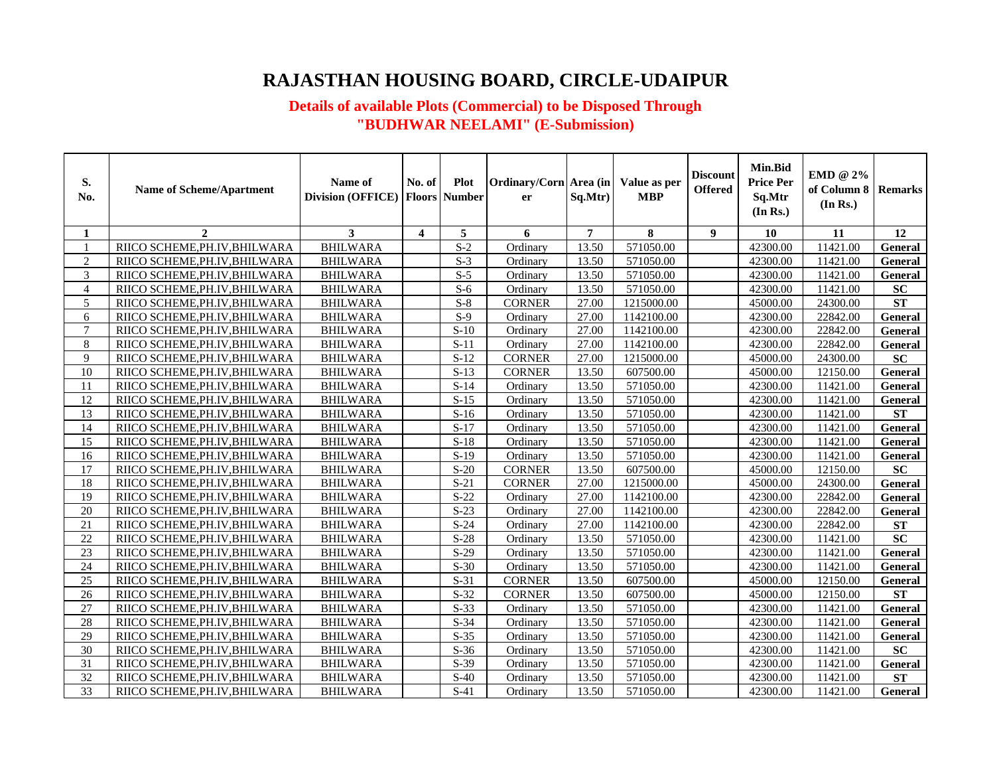# **RAJASTHAN HOUSING BOARD, CIRCLE-UDAIPUR**

### **Details of available Plots (Commercial) to be Disposed Through "BUDHWAR NEELAMI" (E-Submission)**

| S.<br>No. | <b>Name of Scheme/Apartment</b> | Name of<br><b>Division (OFFICE)</b> | No. of                  | <b>Plot</b><br><b>Floors Number</b> | Ordinary/Corn Area (in<br>er | Sq.Mtr)        | Value as per<br><b>MBP</b> | <b>Discount</b><br><b>Offered</b> | <b>Min.Bid</b><br><b>Price Per</b><br>Sq.Mtr<br>(In Rs.) | EMD @ 2%<br>of Column 8<br>(In Rs.) | <b>Remarks</b> |
|-----------|---------------------------------|-------------------------------------|-------------------------|-------------------------------------|------------------------------|----------------|----------------------------|-----------------------------------|----------------------------------------------------------|-------------------------------------|----------------|
| 1         | $\overline{2}$                  | 3                                   | $\overline{\mathbf{4}}$ | 5                                   | 6                            | $\overline{7}$ | 8                          | $\boldsymbol{9}$                  | 10                                                       | 11                                  | 12             |
|           | RIICO SCHEME, PH.IV, BHILWARA   | <b>BHILWARA</b>                     |                         | $\overline{S-2}$                    | Ordinary                     | 13.50          | 571050.00                  |                                   | 42300.00                                                 | 11421.00                            | <b>General</b> |
| 2         | RIICO SCHEME, PH.IV, BHILWARA   | <b>BHILWARA</b>                     |                         | $S-3$                               | Ordinary                     | 13.50          | 571050.00                  |                                   | 42300.00                                                 | 11421.00                            | General        |
| 3         | RIICO SCHEME, PH.IV, BHILWARA   | <b>BHILWARA</b>                     |                         | $S-5$                               | Ordinary                     | 13.50          | 571050.00                  |                                   | 42300.00                                                 | 11421.00                            | General        |
| 4         | RIICO SCHEME, PH.IV, BHILWARA   | <b>BHILWARA</b>                     |                         | $S-6$                               | Ordinary                     | 13.50          | 571050.00                  |                                   | 42300.00                                                 | 11421.00                            | SC             |
| 5         | RIICO SCHEME, PH.IV, BHILWARA   | <b>BHILWARA</b>                     |                         | $S-8$                               | <b>CORNER</b>                | 27.00          | 1215000.00                 |                                   | 45000.00                                                 | 24300.00                            | <b>ST</b>      |
| 6         | RIICO SCHEME, PH.IV, BHILWARA   | <b>BHILWARA</b>                     |                         | $S-9$                               | Ordinary                     | 27.00          | 1142100.00                 |                                   | 42300.00                                                 | 22842.00                            | <b>General</b> |
| $\tau$    | RIICO SCHEME, PH.IV, BHILWARA   | <b>BHILWARA</b>                     |                         | $S-10$                              | Ordinary                     | 27.00          | 1142100.00                 |                                   | 42300.00                                                 | 22842.00                            | General        |
| 8         | RIICO SCHEME, PH.IV, BHILWARA   | <b>BHILWARA</b>                     |                         | $S-11$                              | Ordinary                     | 27.00          | 1142100.00                 |                                   | 42300.00                                                 | 22842.00                            | General        |
| 9         | RIICO SCHEME, PH.IV, BHILWARA   | <b>BHILWARA</b>                     |                         | $S-12$                              | <b>CORNER</b>                | 27.00          | 1215000.00                 |                                   | 45000.00                                                 | 24300.00                            | SC             |
| 10        | RIICO SCHEME, PH.IV, BHILWARA   | <b>BHILWARA</b>                     |                         | $S-13$                              | <b>CORNER</b>                | 13.50          | 607500.00                  |                                   | 45000.00                                                 | 12150.00                            | General        |
| 11        | RIICO SCHEME, PH.IV, BHILWARA   | <b>BHILWARA</b>                     |                         | $S-14$                              | Ordinary                     | 13.50          | 571050.00                  |                                   | 42300.00                                                 | 11421.00                            | General        |
| 12        | RIICO SCHEME, PH.IV, BHILWARA   | <b>BHILWARA</b>                     |                         | $S-15$                              | Ordinary                     | 13.50          | 571050.00                  |                                   | 42300.00                                                 | 11421.00                            | General        |
| 13        | RIICO SCHEME, PH.IV, BHILWARA   | <b>BHILWARA</b>                     |                         | $S-16$                              | Ordinary                     | 13.50          | 571050.00                  |                                   | 42300.00                                                 | 11421.00                            | <b>ST</b>      |
| 14        | RIICO SCHEME, PH.IV, BHILWARA   | <b>BHILWARA</b>                     |                         | $S-17$                              | Ordinary                     | 13.50          | 571050.00                  |                                   | 42300.00                                                 | 11421.00                            | General        |
| 15        | RIICO SCHEME, PH.IV, BHILWARA   | <b>BHILWARA</b>                     |                         | $S-18$                              | Ordinary                     | 13.50          | 571050.00                  |                                   | 42300.00                                                 | 11421.00                            | General        |
| 16        | RIICO SCHEME, PH.IV, BHILWARA   | <b>BHILWARA</b>                     |                         | $S-19$                              | Ordinary                     | 13.50          | 571050.00                  |                                   | 42300.00                                                 | 11421.00                            | <b>General</b> |
| 17        | RIICO SCHEME, PH.IV, BHILWARA   | <b>BHILWARA</b>                     |                         | $S-20$                              | <b>CORNER</b>                | 13.50          | 607500.00                  |                                   | 45000.00                                                 | 12150.00                            | <b>SC</b>      |
| 18        | RIICO SCHEME, PH.IV, BHILWARA   | <b>BHILWARA</b>                     |                         | $S-21$                              | <b>CORNER</b>                | 27.00          | 1215000.00                 |                                   | 45000.00                                                 | 24300.00                            | General        |
| 19        | RIICO SCHEME, PH.IV, BHILWARA   | <b>BHILWARA</b>                     |                         | $S-22$                              | Ordinary                     | 27.00          | 1142100.00                 |                                   | 42300.00                                                 | 22842.00                            | General        |
| 20        | RIICO SCHEME, PH.IV, BHILWARA   | <b>BHILWARA</b>                     |                         | $S-23$                              | Ordinary                     | 27.00          | 1142100.00                 |                                   | 42300.00                                                 | 22842.00                            | General        |
| 21        | RIICO SCHEME, PH.IV, BHILWARA   | <b>BHILWARA</b>                     |                         | $S-24$                              | Ordinary                     | 27.00          | 1142100.00                 |                                   | 42300.00                                                 | 22842.00                            | ST             |
| 22        | RIICO SCHEME, PH.IV, BHILWARA   | <b>BHILWARA</b>                     |                         | $S-28$                              | Ordinary                     | 13.50          | 571050.00                  |                                   | 42300.00                                                 | 11421.00                            | SC             |
| 23        | RIICO SCHEME, PH.IV, BHILWARA   | <b>BHILWARA</b>                     |                         | $S-29$                              | Ordinary                     | 13.50          | 571050.00                  |                                   | 42300.00                                                 | 11421.00                            | General        |
| 24        | RIICO SCHEME, PH.IV, BHILWARA   | <b>BHILWARA</b>                     |                         | $S-30$                              | Ordinary                     | 13.50          | 571050.00                  |                                   | 42300.00                                                 | 11421.00                            | General        |
| 25        | RIICO SCHEME, PH.IV, BHILWARA   | <b>BHILWARA</b>                     |                         | $S-31$                              | <b>CORNER</b>                | 13.50          | 607500.00                  |                                   | 45000.00                                                 | 12150.00                            | General        |
| 26        | RIICO SCHEME, PH.IV, BHILWARA   | <b>BHILWARA</b>                     |                         | $S-32$                              | <b>CORNER</b>                | 13.50          | 607500.00                  |                                   | 45000.00                                                 | 12150.00                            | ST             |
| 27        | RIICO SCHEME, PH.IV, BHILWARA   | <b>BHILWARA</b>                     |                         | $S-33$                              | Ordinary                     | 13.50          | 571050.00                  |                                   | 42300.00                                                 | 11421.00                            | General        |
| $28\,$    | RIICO SCHEME, PH.IV, BHILWARA   | <b>BHILWARA</b>                     |                         | $S-34$                              | Ordinary                     | 13.50          | 571050.00                  |                                   | 42300.00                                                 | 11421.00                            | General        |
| 29        | RIICO SCHEME, PH.IV, BHILWARA   | <b>BHILWARA</b>                     |                         | $S-35$                              | Ordinary                     | 13.50          | 571050.00                  |                                   | 42300.00                                                 | 11421.00                            | General        |
| 30        | RIICO SCHEME, PH.IV, BHILWARA   | <b>BHILWARA</b>                     |                         | $S-36$                              | Ordinary                     | 13.50          | 571050.00                  |                                   | 42300.00                                                 | 11421.00                            | SC             |
| 31        | RIICO SCHEME, PH.IV, BHILWARA   | <b>BHILWARA</b>                     |                         | $S-39$                              | Ordinary                     | 13.50          | 571050.00                  |                                   | 42300.00                                                 | 11421.00                            | General        |
| 32        | RIICO SCHEME, PH.IV, BHILWARA   | <b>BHILWARA</b>                     |                         | $S-40$                              | Ordinary                     | 13.50          | 571050.00                  |                                   | 42300.00                                                 | 11421.00                            | <b>ST</b>      |
| 33        | RIICO SCHEME, PH.IV, BHILWARA   | <b>BHILWARA</b>                     |                         | $S-41$                              | Ordinary                     | 13.50          | 571050.00                  |                                   | 42300.00                                                 | 11421.00                            | General        |